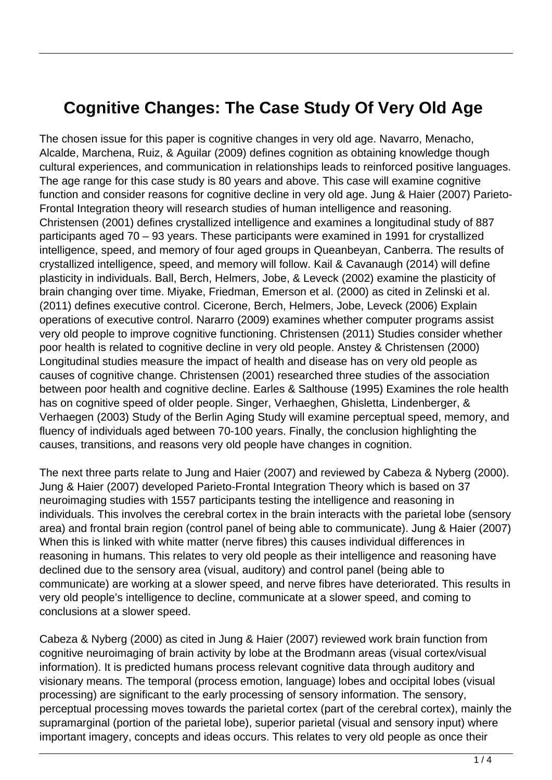## **Cognitive Changes: The Case Study Of Very Old Age**

The chosen issue for this paper is cognitive changes in very old age. Navarro, Menacho, Alcalde, Marchena, Ruiz, & Aguilar (2009) defines cognition as obtaining knowledge though cultural experiences, and communication in relationships leads to reinforced positive languages. The age range for this case study is 80 years and above. This case will examine cognitive function and consider reasons for cognitive decline in very old age. Jung & Haier (2007) Parieto-Frontal Integration theory will research studies of human intelligence and reasoning. Christensen (2001) defines crystallized intelligence and examines a longitudinal study of 887 participants aged 70 – 93 years. These participants were examined in 1991 for crystallized intelligence, speed, and memory of four aged groups in Queanbeyan, Canberra. The results of crystallized intelligence, speed, and memory will follow. Kail & Cavanaugh (2014) will define plasticity in individuals. Ball, Berch, Helmers, Jobe, & Leveck (2002) examine the plasticity of brain changing over time. Miyake, Friedman, Emerson et al. (2000) as cited in Zelinski et al. (2011) defines executive control. Cicerone, Berch, Helmers, Jobe, Leveck (2006) Explain operations of executive control. Nararro (2009) examines whether computer programs assist very old people to improve cognitive functioning. Christensen (2011) Studies consider whether poor health is related to cognitive decline in very old people. Anstey & Christensen (2000) Longitudinal studies measure the impact of health and disease has on very old people as causes of cognitive change. Christensen (2001) researched three studies of the association between poor health and cognitive decline. Earles & Salthouse (1995) Examines the role health has on cognitive speed of older people. Singer, Verhaeghen, Ghisletta, Lindenberger, & Verhaegen (2003) Study of the Berlin Aging Study will examine perceptual speed, memory, and fluency of individuals aged between 70-100 years. Finally, the conclusion highlighting the causes, transitions, and reasons very old people have changes in cognition.

The next three parts relate to Jung and Haier (2007) and reviewed by Cabeza & Nyberg (2000). Jung & Haier (2007) developed Parieto-Frontal Integration Theory which is based on 37 neuroimaging studies with 1557 participants testing the intelligence and reasoning in individuals. This involves the cerebral cortex in the brain interacts with the parietal lobe (sensory area) and frontal brain region (control panel of being able to communicate). Jung & Haier (2007) When this is linked with white matter (nerve fibres) this causes individual differences in reasoning in humans. This relates to very old people as their intelligence and reasoning have declined due to the sensory area (visual, auditory) and control panel (being able to communicate) are working at a slower speed, and nerve fibres have deteriorated. This results in very old people's intelligence to decline, communicate at a slower speed, and coming to conclusions at a slower speed.

Cabeza & Nyberg (2000) as cited in Jung & Haier (2007) reviewed work brain function from cognitive neuroimaging of brain activity by lobe at the Brodmann areas (visual cortex/visual information). It is predicted humans process relevant cognitive data through auditory and visionary means. The temporal (process emotion, language) lobes and occipital lobes (visual processing) are significant to the early processing of sensory information. The sensory, perceptual processing moves towards the parietal cortex (part of the cerebral cortex), mainly the supramarginal (portion of the parietal lobe), superior parietal (visual and sensory input) where important imagery, concepts and ideas occurs. This relates to very old people as once their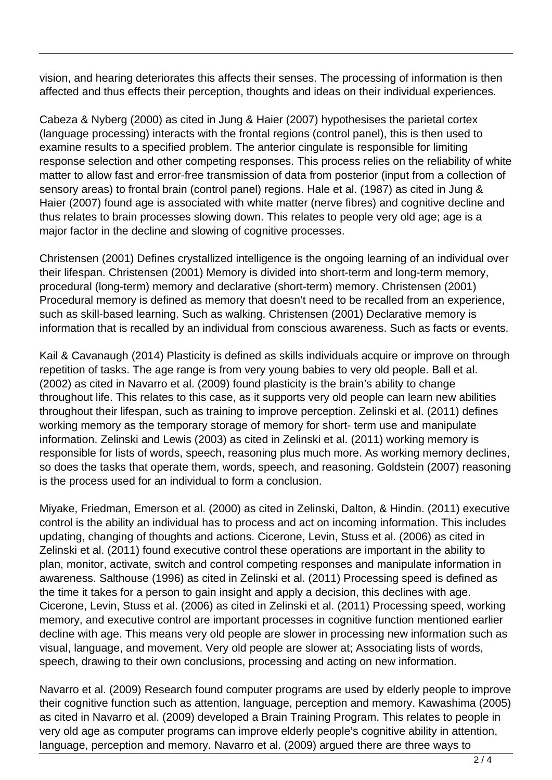vision, and hearing deteriorates this affects their senses. The processing of information is then affected and thus effects their perception, thoughts and ideas on their individual experiences.

Cabeza & Nyberg (2000) as cited in Jung & Haier (2007) hypothesises the parietal cortex (language processing) interacts with the frontal regions (control panel), this is then used to examine results to a specified problem. The anterior cingulate is responsible for limiting response selection and other competing responses. This process relies on the reliability of white matter to allow fast and error-free transmission of data from posterior (input from a collection of sensory areas) to frontal brain (control panel) regions. Hale et al. (1987) as cited in Jung & Haier (2007) found age is associated with white matter (nerve fibres) and cognitive decline and thus relates to brain processes slowing down. This relates to people very old age; age is a major factor in the decline and slowing of cognitive processes.

Christensen (2001) Defines crystallized intelligence is the ongoing learning of an individual over their lifespan. Christensen (2001) Memory is divided into short-term and long-term memory, procedural (long-term) memory and declarative (short-term) memory. Christensen (2001) Procedural memory is defined as memory that doesn't need to be recalled from an experience, such as skill-based learning. Such as walking. Christensen (2001) Declarative memory is information that is recalled by an individual from conscious awareness. Such as facts or events.

Kail & Cavanaugh (2014) Plasticity is defined as skills individuals acquire or improve on through repetition of tasks. The age range is from very young babies to very old people. Ball et al. (2002) as cited in Navarro et al. (2009) found plasticity is the brain's ability to change throughout life. This relates to this case, as it supports very old people can learn new abilities throughout their lifespan, such as training to improve perception. Zelinski et al. (2011) defines working memory as the temporary storage of memory for short- term use and manipulate information. Zelinski and Lewis (2003) as cited in Zelinski et al. (2011) working memory is responsible for lists of words, speech, reasoning plus much more. As working memory declines, so does the tasks that operate them, words, speech, and reasoning. Goldstein (2007) reasoning is the process used for an individual to form a conclusion.

Miyake, Friedman, Emerson et al. (2000) as cited in Zelinski, Dalton, & Hindin. (2011) executive control is the ability an individual has to process and act on incoming information. This includes updating, changing of thoughts and actions. Cicerone, Levin, Stuss et al. (2006) as cited in Zelinski et al. (2011) found executive control these operations are important in the ability to plan, monitor, activate, switch and control competing responses and manipulate information in awareness. Salthouse (1996) as cited in Zelinski et al. (2011) Processing speed is defined as the time it takes for a person to gain insight and apply a decision, this declines with age. Cicerone, Levin, Stuss et al. (2006) as cited in Zelinski et al. (2011) Processing speed, working memory, and executive control are important processes in cognitive function mentioned earlier decline with age. This means very old people are slower in processing new information such as visual, language, and movement. Very old people are slower at; Associating lists of words, speech, drawing to their own conclusions, processing and acting on new information.

Navarro et al. (2009) Research found computer programs are used by elderly people to improve their cognitive function such as attention, language, perception and memory. Kawashima (2005) as cited in Navarro et al. (2009) developed a Brain Training Program. This relates to people in very old age as computer programs can improve elderly people's cognitive ability in attention, language, perception and memory. Navarro et al. (2009) argued there are three ways to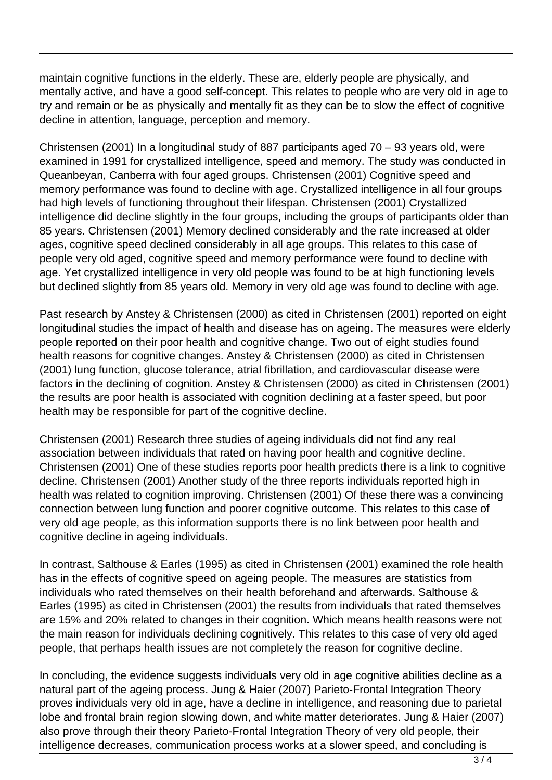maintain cognitive functions in the elderly. These are, elderly people are physically, and mentally active, and have a good self-concept. This relates to people who are very old in age to try and remain or be as physically and mentally fit as they can be to slow the effect of cognitive decline in attention, language, perception and memory.

Christensen (2001) In a longitudinal study of 887 participants aged 70 – 93 years old, were examined in 1991 for crystallized intelligence, speed and memory. The study was conducted in Queanbeyan, Canberra with four aged groups. Christensen (2001) Cognitive speed and memory performance was found to decline with age. Crystallized intelligence in all four groups had high levels of functioning throughout their lifespan. Christensen (2001) Crystallized intelligence did decline slightly in the four groups, including the groups of participants older than 85 years. Christensen (2001) Memory declined considerably and the rate increased at older ages, cognitive speed declined considerably in all age groups. This relates to this case of people very old aged, cognitive speed and memory performance were found to decline with age. Yet crystallized intelligence in very old people was found to be at high functioning levels but declined slightly from 85 years old. Memory in very old age was found to decline with age.

Past research by Anstey & Christensen (2000) as cited in Christensen (2001) reported on eight longitudinal studies the impact of health and disease has on ageing. The measures were elderly people reported on their poor health and cognitive change. Two out of eight studies found health reasons for cognitive changes. Anstey & Christensen (2000) as cited in Christensen (2001) lung function, glucose tolerance, atrial fibrillation, and cardiovascular disease were factors in the declining of cognition. Anstey & Christensen (2000) as cited in Christensen (2001) the results are poor health is associated with cognition declining at a faster speed, but poor health may be responsible for part of the cognitive decline.

Christensen (2001) Research three studies of ageing individuals did not find any real association between individuals that rated on having poor health and cognitive decline. Christensen (2001) One of these studies reports poor health predicts there is a link to cognitive decline. Christensen (2001) Another study of the three reports individuals reported high in health was related to cognition improving. Christensen (2001) Of these there was a convincing connection between lung function and poorer cognitive outcome. This relates to this case of very old age people, as this information supports there is no link between poor health and cognitive decline in ageing individuals.

In contrast, Salthouse & Earles (1995) as cited in Christensen (2001) examined the role health has in the effects of cognitive speed on ageing people. The measures are statistics from individuals who rated themselves on their health beforehand and afterwards. Salthouse & Earles (1995) as cited in Christensen (2001) the results from individuals that rated themselves are 15% and 20% related to changes in their cognition. Which means health reasons were not the main reason for individuals declining cognitively. This relates to this case of very old aged people, that perhaps health issues are not completely the reason for cognitive decline.

In concluding, the evidence suggests individuals very old in age cognitive abilities decline as a natural part of the ageing process. Jung & Haier (2007) Parieto-Frontal Integration Theory proves individuals very old in age, have a decline in intelligence, and reasoning due to parietal lobe and frontal brain region slowing down, and white matter deteriorates. Jung & Haier (2007) also prove through their theory Parieto-Frontal Integration Theory of very old people, their intelligence decreases, communication process works at a slower speed, and concluding is